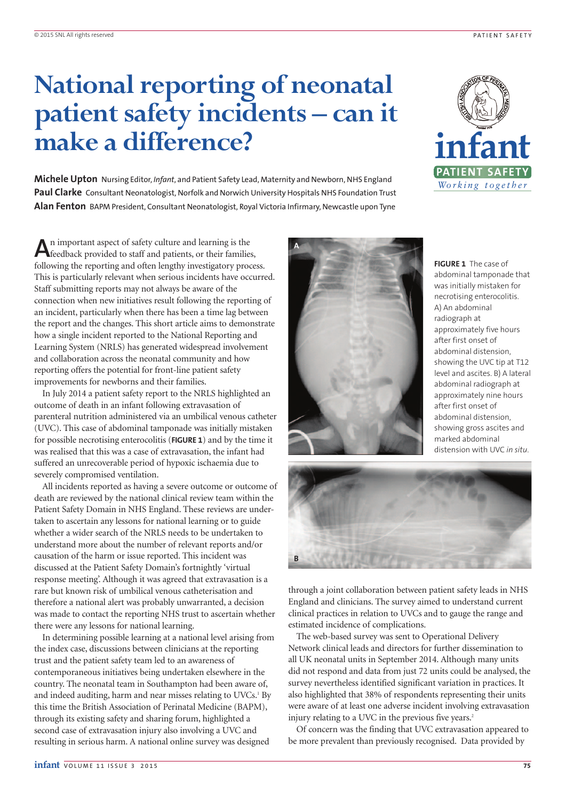# **National reporting of neonatal patient safety incidents – can it make a difference?**

**Michele Upton** Nursing Editor, *Infant*, and Patient Safety Lead, Maternity and Newborn, NHS England **Paul Clarke** Consultant Neonatologist, Norfolk and Norwich University Hospitals NHS Foundation Trust **Alan Fenton** BAPM President, Consultant Neonatologist, Royal Victoria Infirmary, Newcastle upon Tyne



**A**n important aspect of safety culture and learning is the feedback provided to staff and patients, or their families, following the reporting and often lengthy investigatory process. This is particularly relevant when serious incidents have occurred. Staff submitting reports may not always be aware of the connection when new initiatives result following the reporting of an incident, particularly when there has been a time lag between the report and the changes. This short article aims to demonstrate how a single incident reported to the National Reporting and Learning System (NRLS) has generated widespread involvement and collaboration across the neonatal community and how reporting offers the potential for front-line patient safety improvements for newborns and their families.

In July 2014 a patient safety report to the NRLS highlighted an outcome of death in an infant following extravasation of parenteral nutrition administered via an umbilical venous catheter (UVC). This case of abdominal tamponade was initially mistaken for possible necrotising enterocolitis (**FIGURE 1**) and by the time it was realised that this was a case of extravasation, the infant had suffered an unrecoverable period of hypoxic ischaemia due to severely compromised ventilation.

All incidents reported as having a severe outcome or outcome of death are reviewed by the national clinical review team within the Patient Safety Domain in NHS England. These reviews are undertaken to ascertain any lessons for national learning or to guide whether a wider search of the NRLS needs to be undertaken to understand more about the number of relevant reports and/or causation of the harm or issue reported. This incident was discussed at the Patient Safety Domain's fortnightly 'virtual response meeting'. Although it was agreed that extravasation is a rare but known risk of umbilical venous catheterisation and therefore a national alert was probably unwarranted, a decision was made to contact the reporting NHS trust to ascertain whether there were any lessons for national learning.

In determining possible learning at a national level arising from the index case, discussions between clinicians at the reporting trust and the patient safety team led to an awareness of contemporaneous initiatives being undertaken elsewhere in the country. The neonatal team in Southampton had been aware of, and indeed auditing, harm and near misses relating to UVCs.<sup>1</sup> By this time the British Association of Perinatal Medicine (BAPM), through its existing safety and sharing forum, highlighted a second case of extravasation injury also involving a UVC and resulting in serious harm. A national online survey was designed



**FIGURE 1** The case of abdominal tamponade that was initially mistaken for necrotising enterocolitis. A) An abdominal radiograph at approximately five hours after first onset of abdominal distension, showing the UVC tip at T12 level and ascites. B) A lateral abdominal radiograph at approximately nine hours after first onset of abdominal distension, showing gross ascites and marked abdominal distension with UVC *in situ*.



through a joint collaboration between patient safety leads in NHS England and clinicians. The survey aimed to understand current clinical practices in relation to UVCs and to gauge the range and estimated incidence of complications.

The web-based survey was sent to Operational Delivery Network clinical leads and directors for further dissemination to all UK neonatal units in September 2014. Although many units did not respond and data from just 72 units could be analysed, the survey nevertheless identified significant variation in practices. It also highlighted that 38% of respondents representing their units were aware of at least one adverse incident involving extravasation injury relating to a UVC in the previous five years.<sup>2</sup>

Of concern was the finding that UVC extravasation appeared to be more prevalent than previously recognised. Data provided by